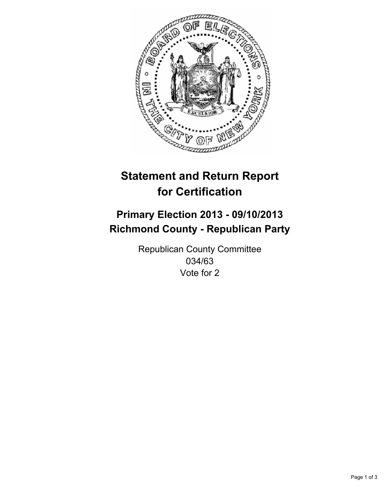

# **Statement and Return Report for Certification**

# **Primary Election 2013 - 09/10/2013 Richmond County - Republican Party**

Republican County Committee 034/63 Vote for 2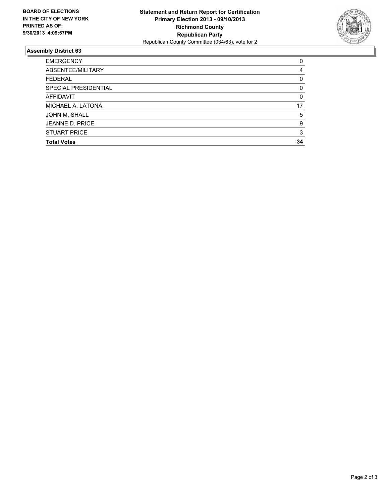

## **Assembly District 63**

| 0        |
|----------|
| 4        |
| 0        |
| 0        |
| $\Omega$ |
| 17       |
| 5        |
| 9        |
| 3        |
| 34       |
|          |